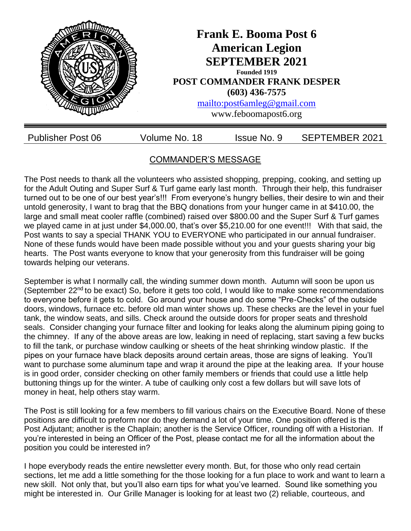

# COMMANDER'S MESSAGE

The Post needs to thank all the volunteers who assisted shopping, prepping, cooking, and setting up for the Adult Outing and Super Surf & Turf game early last month. Through their help, this fundraiser turned out to be one of our best year's!!! From everyone's hungry bellies, their desire to win and their untold generosity, I want to brag that the BBQ donations from your hunger came in at \$410.00, the large and small meat cooler raffle (combined) raised over \$800.00 and the Super Surf & Turf games we played came in at just under \$4,000.00, that's over \$5,210.00 for one event!!! With that said, the Post wants to say a special THANK YOU to EVERYONE who participated in our annual fundraiser. None of these funds would have been made possible without you and your guests sharing your big hearts. The Post wants everyone to know that your generosity from this fundraiser will be going towards helping our veterans.

September is what I normally call, the winding summer down month. Autumn will soon be upon us (September 22<sup>nd</sup> to be exact) So, before it gets too cold, I would like to make some recommendations to everyone before it gets to cold. Go around your house and do some "Pre-Checks" of the outside doors, windows, furnace etc. before old man winter shows up. These checks are the level in your fuel tank, the window seats, and sills. Check around the outside doors for proper seats and threshold seals. Consider changing your furnace filter and looking for leaks along the aluminum piping going to the chimney. If any of the above areas are low, leaking in need of replacing, start saving a few bucks to fill the tank, or purchase window caulking or sheets of the heat shrinking window plastic. If the pipes on your furnace have black deposits around certain areas, those are signs of leaking. You'll want to purchase some aluminum tape and wrap it around the pipe at the leaking area. If your house is in good order, consider checking on other family members or friends that could use a little help buttoning things up for the winter. A tube of caulking only cost a few dollars but will save lots of money in heat, help others stay warm.

The Post is still looking for a few members to fill various chairs on the Executive Board. None of these positions are difficult to preform nor do they demand a lot of your time. One position offered is the Post Adjutant; another is the Chaplain; another is the Service Officer, rounding off with a Historian. If you're interested in being an Officer of the Post, please contact me for all the information about the position you could be interested in?

I hope everybody reads the entire newsletter every month. But, for those who only read certain sections, let me add a little something for the those looking for a fun place to work and want to learn a new skill. Not only that, but you'll also earn tips for what you've learned. Sound like something you might be interested in. Our Grille Manager is looking for at least two (2) reliable, courteous, and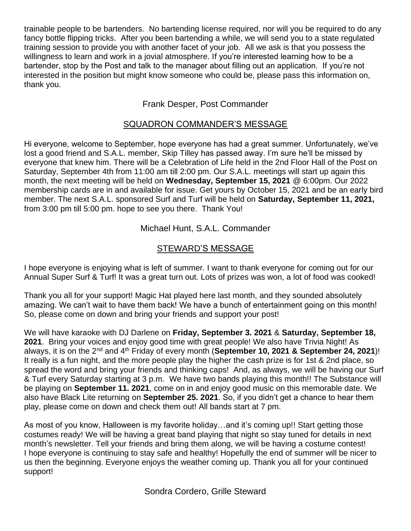trainable people to be bartenders. No bartending license required, nor will you be required to do any fancy bottle flipping tricks. After you been bartending a while, we will send you to a state regulated training session to provide you with another facet of your job. All we ask is that you possess the willingness to learn and work in a jovial atmosphere. If you're interested learning how to be a bartender, stop by the Post and talk to the manager about filling out an application. If you're not interested in the position but might know someone who could be, please pass this information on, thank you.

### Frank Desper, Post Commander

### SQUADRON COMMANDER'S MESSAGE

Hi everyone, welcome to September, hope everyone has had a great summer. Unfortunately, we've lost a good friend and S.A.L. member, Skip Tilley has passed away. I'm sure he'll be missed by everyone that knew him. There will be a Celebration of Life held in the 2nd Floor Hall of the Post on Saturday, September 4th from 11:00 am till 2:00 pm. Our S.A.L. meetings will start up again this month, the next meeting will be held on **Wednesday, September 15, 2021** @ 6:00pm. Our 2022 membership cards are in and available for issue. Get yours by October 15, 2021 and be an early bird member. The next S.A.L. sponsored Surf and Turf will be held on **Saturday, September 11, 2021,** from 3:00 pm till 5:00 pm. hope to see you there. Thank You!

Michael Hunt, S.A.L. Commander

# STEWARD'S MESSAGE

I hope everyone is enjoying what is left of summer. I want to thank everyone for coming out for our Annual Super Surf & Turf! It was a great turn out. Lots of prizes was won, a lot of food was cooked!

Thank you all for your support! Magic Hat played here last month, and they sounded absolutely amazing. We can't wait to have them back! We have a bunch of entertainment going on this month! So, please come on down and bring your friends and support your post!

We will have karaoke with DJ Darlene on **Friday, September 3. 2021** & **Saturday, September 18, 2021**. Bring your voices and enjoy good time with great people! We also have Trivia Night! As always, it is on the 2nd and 4th Friday of every month (**September 10, 2021 & September 24, 2021**)! It really is a fun night, and the more people play the higher the cash prize is for 1st & 2nd place, so spread the word and bring your friends and thinking caps! And, as always, we will be having our Surf & Turf every Saturday starting at 3 p.m. We have two bands playing this month!! The Substance will be playing on **September 11. 2021**, come on in and enjoy good music on this memorable date. We also have Black Lite returning on **September 25. 2021**. So, if you didn't get a chance to hear them play, please come on down and check them out! All bands start at 7 pm.

As most of you know, Halloween is my favorite holiday…and it's coming up!! Start getting those costumes ready! We will be having a great band playing that night so stay tuned for details in next month's newsletter. Tell your friends and bring them along, we will be having a costume contest! I hope everyone is continuing to stay safe and healthy! Hopefully the end of summer will be nicer to us then the beginning. Everyone enjoys the weather coming up. Thank you all for your continued support!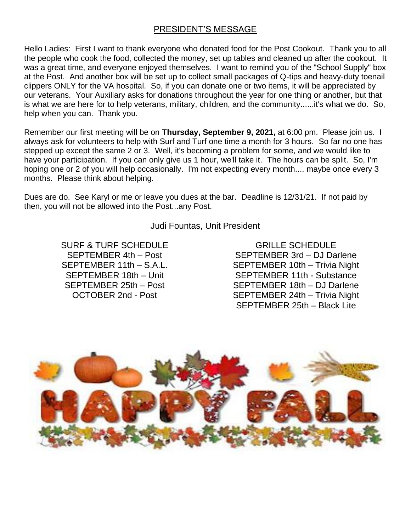### PRESIDENT'S MESSAGE

Hello Ladies: First I want to thank everyone who donated food for the Post Cookout. Thank you to all the people who cook the food, collected the money, set up tables and cleaned up after the cookout. It was a great time, and everyone enjoyed themselves. I want to remind you of the "School Supply" box at the Post. And another box will be set up to collect small packages of Q-tips and heavy-duty toenail clippers ONLY for the VA hospital. So, if you can donate one or two items, it will be appreciated by our veterans. Your Auxiliary asks for donations throughout the year for one thing or another, but that is what we are here for to help veterans, military, children, and the community......it's what we do. So, help when you can. Thank you.

Remember our first meeting will be on **Thursday, September 9, 2021,** at 6:00 pm. Please join us. I always ask for volunteers to help with Surf and Turf one time a month for 3 hours. So far no one has stepped up except the same 2 or 3. Well, it's becoming a problem for some, and we would like to have your participation. If you can only give us 1 hour, we'll take it. The hours can be split. So, I'm hoping one or 2 of you will help occasionally. I'm not expecting every month.... maybe once every 3 months. Please think about helping.

Dues are do. See Karyl or me or leave you dues at the bar. Deadline is 12/31/21. If not paid by then, you will not be allowed into the Post...any Post.

Judi Fountas, Unit President

SURF & TURF SCHEDULE SEPTEMBER 4th – Post SEPTEMBER 11th – S.A.L. SEPTEMBER 18th – Unit SEPTEMBER 25th – Post OCTOBER 2nd - Post

GRILLE SCHEDULE SEPTEMBER 3rd – DJ Darlene SEPTEMBER 10th – Trivia Night SEPTEMBER 11th - Substance SEPTEMBER 18th – DJ Darlene SEPTEMBER 24th – Trivia Night SEPTEMBER 25th – Black Lite